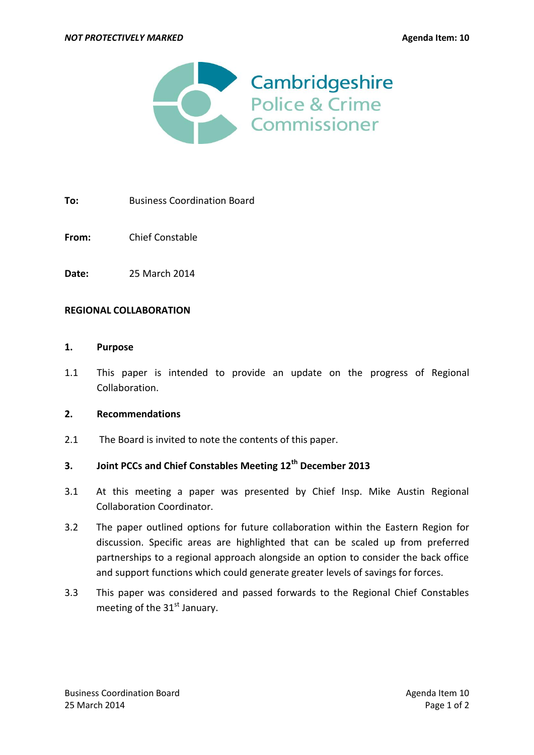

**To:** Business Coordination Board

**From:** Chief Constable

**Date:** 25 March 2014

### **REGIONAL COLLABORATION**

#### **1. Purpose**

1.1 This paper is intended to provide an update on the progress of Regional Collaboration.

### **2. Recommendations**

2.1 The Board is invited to note the contents of this paper.

## **3. Joint PCCs and Chief Constables Meeting 12th December 2013**

- 3.1 At this meeting a paper was presented by Chief Insp. Mike Austin Regional Collaboration Coordinator.
- 3.2 The paper outlined options for future collaboration within the Eastern Region for discussion. Specific areas are highlighted that can be scaled up from preferred partnerships to a regional approach alongside an option to consider the back office and support functions which could generate greater levels of savings for forces.
- 3.3 This paper was considered and passed forwards to the Regional Chief Constables meeting of the  $31<sup>st</sup>$  January.